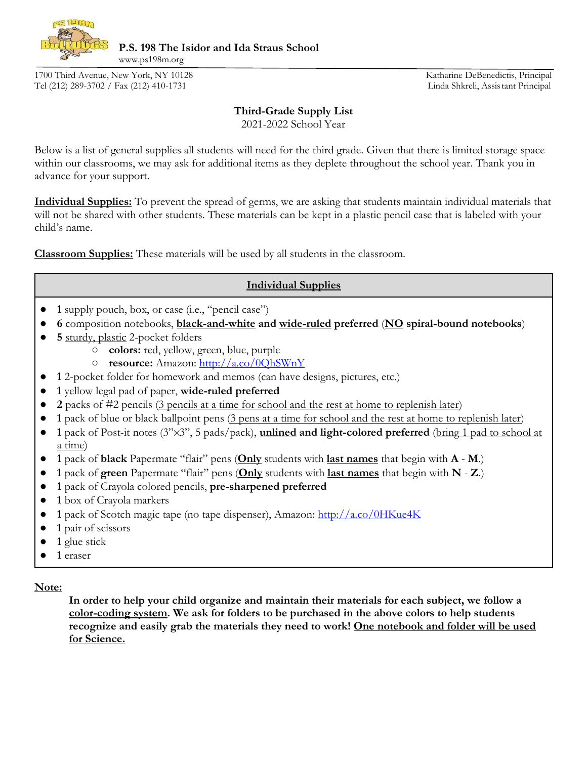

**P.S. 198 The Isidor and Ida Straus School** 

1700 Third Avenue, New York, NY 10128 Katharine DeBenedictis, Principal Tel (212) 289-3702 / Fax (212) 410-1731 Linda Shkreli, Assistant Principal

www.ps198m.org

## **Third-Grade Supply List**

2021-2022 School Year

Below is a list of general supplies all students will need for the third grade. Given that there is limited storage space within our classrooms, we may ask for additional items as they deplete throughout the school year. Thank you in advance for your support.

**Individual Supplies:** To prevent the spread of germs, we are asking that students maintain individual materials that will not be shared with other students. These materials can be kept in a plastic pencil case that is labeled with your child's name.

**Classroom Supplies:** These materials will be used by all students in the classroom.

## **Individual Supplies**

- **● 1** supply pouch, box, or case (i.e., "pencil case")
- **● 6** composition notebooks, **black-and-white and wide-ruled preferred** (**NO spiral-bound notebooks**)
- **● 5** sturdy, plastic 2-pocket folders
	- **colors:** red, yellow, green, blue, purple
	- **resource:** Amazon: <http://a.co/0QhSWnY>
- **● 1** 2-pocket folder for homework and memos (can have designs, pictures, etc.)
- **● 1** yellow legal pad of paper, **wide-ruled preferred**
- **● 2** packs of #2 pencils (3 pencils at a time for school and the rest at home to replenish later)
- **1** pack of blue or black ballpoint pens (3 pens at a time for school and the rest at home to replenish later)
- **● 1** pack of Post-it notes (3"✕3", 5 pads/pack), **unlined and light-colored preferred** (bring 1 pad to school at a time)
- **● 1** pack of **black** Papermate "flair" pens (**Only** students with **last names** that begin with **A M**.)
- **● 1** pack of **green** Papermate "flair" pens (**Only** students with **last names** that begin with **N Z**.)
- **● 1** pack of Crayola colored pencils, **pre-sharpened preferred**
- **● 1** box of Crayola markers
- **● 1** pack of Scotch magic tape (no tape dispenser), Amazon[:](http://a.co/0HKue4K) <http://a.co/0HKue4K>
- **● 1** pair of scissors
- **● 1** glue stick
- **● 1** eraser

**Note:**

**In order to help your child organize and maintain their materials for each subject, we follow a color-coding system. We ask for folders to be purchased in the above colors to help students recognize and easily grab the materials they need to work! One notebook and folder will be used for Science.**